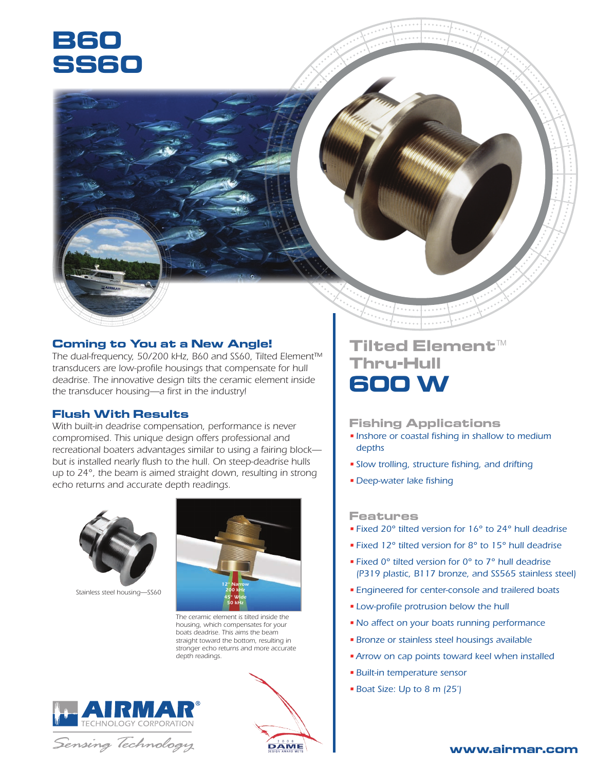# **B60 SS60**

### **Coming to You at a New Angle!**

*The dual-frequency, 50/200 kHz, B60 and SS60, Tilted Element™ transducers are low-profile housings that compensate for hull deadrise. The innovative design tilts the ceramic element inside the transducer housing—a first in the industry!*

#### **Flush With Results**

*With built-in deadrise compensation, performance is never compromised. This unique design offers professional and recreational boaters advantages similar to using a fairing block but is installed nearly flush to the hull. On steep-deadrise hulls up to 24°, the beam is aimed straight down, resulting in strong echo returns and accurate depth readings.*



*Stainless steel housing—SS60*



*The ceramic element is tilted inside the housing, which compensates for your boats deadrise. This aims the beam straight toward the bottom, resulting in stronger echo returns and more accurate depth readings.*

**DAME** 







#### **Fishing Applications**

- *Inshore or coastal fishing in shallow to medium depths*
- *Slow trolling, structure fishing, and drifting*
- *Deep-water lake fishing*

#### **Features**

- *Fixed 20° tilted version for 16° to 24° hull deadrise*
- *Fixed 12° tilted version for 8° to 15° hull deadrise*
- *Fixed 0° tilted version for 0° to 7° hull deadrise (P319 plastic, B117 bronze, and SS5*6*5 stainless steel)*
- *Engineered for center-console and trailered boats*
- *Low-profile protrusion below the hull*
- •*No affect on your boats running performance*
- *Bronze or stainless steel housings available*
- •*Arrow on cap points toward keel when installed*
- *Built-in temperature sensor*
- *Boat Size: Up to 8 m (25')*

**www.airmar.com**